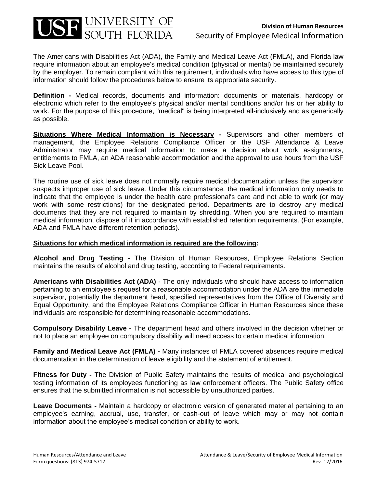

The Americans with Disabilities Act (ADA), the Family and Medical Leave Act (FMLA), and Florida law require information about an employee's medical condition (physical or mental) be maintained securely by the employer. To remain compliant with this requirement, individuals who have access to this type of information should follow the procedures below to ensure its appropriate security.

**Definition -** Medical records, documents and information: documents or materials, hardcopy or electronic which refer to the employee's physical and/or mental conditions and/or his or her ability to work. For the purpose of this procedure, "medical" is being interpreted all-inclusively and as generically as possible.

**Situations Where Medical Information is Necessary -** Supervisors and other members of management, the Employee Relations Compliance Officer or the USF Attendance & Leave Administrator may require medical information to make a decision about work assignments, entitlements to FMLA, an ADA reasonable accommodation and the approval to use hours from the USF Sick Leave Pool.

The routine use of sick leave does not normally require medical documentation unless the supervisor suspects improper use of sick leave. Under this circumstance, the medical information only needs to indicate that the employee is under the health care professional's care and not able to work (or may work with some restrictions) for the designated period. Departments are to destroy any medical documents that they are not required to maintain by shredding. When you are required to maintain medical information, dispose of it in accordance with established retention requirements. (For example, ADA and FMLA have different retention periods).

## **Situations for which medical information is required are the following:**

**Alcohol and Drug Testing -** The Division of Human Resources, Employee Relations Section maintains the results of alcohol and drug testing, according to Federal requirements.

**Americans with Disabilities Act (ADA)** - The only individuals who should have access to information pertaining to an employee's request for a reasonable accommodation under the ADA are the immediate supervisor, potentially the department head, specified representatives from the Office of Diversity and Equal Opportunity, and the Employee Relations Compliance Officer in Human Resources since these individuals are responsible for determining reasonable accommodations.

**Compulsory Disability Leave -** The department head and others involved in the decision whether or not to place an employee on compulsory disability will need access to certain medical information.

**Family and Medical Leave Act (FMLA) -** Many instances of FMLA covered absences require medical documentation in the determination of leave eligibility and the statement of entitlement.

**Fitness for Duty -** The Division of Public Safety maintains the results of medical and psychological testing information of its employees functioning as law enforcement officers. The Public Safety office ensures that the submitted information is not accessible by unauthorized parties.

**Leave Documents -** Maintain a hardcopy or electronic version of generated material pertaining to an employee's earning, accrual, use, transfer, or cash-out of leave which may or may not contain information about the employee's medical condition or ability to work.